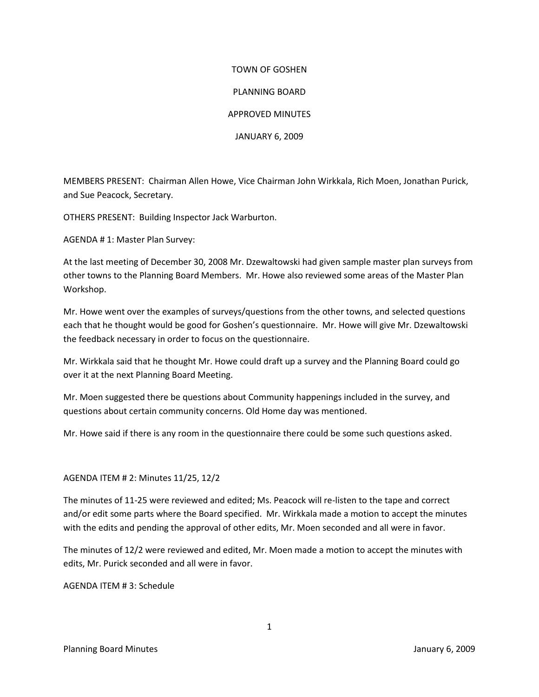## TOWN OF GOSHEN PLANNING BOARD APPROVED MINUTES JANUARY 6, 2009

MEMBERS PRESENT: Chairman Allen Howe, Vice Chairman John Wirkkala, Rich Moen, Jonathan Purick, and Sue Peacock, Secretary.

OTHERS PRESENT: Building Inspector Jack Warburton.

AGENDA # 1: Master Plan Survey:

At the last meeting of December 30, 2008 Mr. Dzewaltowski had given sample master plan surveys from other towns to the Planning Board Members. Mr. Howe also reviewed some areas of the Master Plan Workshop.

Mr. Howe went over the examples of surveys/questions from the other towns, and selected questions each that he thought would be good for Goshen's questionnaire. Mr. Howe will give Mr. Dzewaltowski the feedback necessary in order to focus on the questionnaire.

Mr. Wirkkala said that he thought Mr. Howe could draft up a survey and the Planning Board could go over it at the next Planning Board Meeting.

Mr. Moen suggested there be questions about Community happenings included in the survey, and questions about certain community concerns. Old Home day was mentioned.

Mr. Howe said if there is any room in the questionnaire there could be some such questions asked.

AGENDA ITEM # 2: Minutes 11/25, 12/2

The minutes of 11-25 were reviewed and edited; Ms. Peacock will re-listen to the tape and correct and/or edit some parts where the Board specified. Mr. Wirkkala made a motion to accept the minutes with the edits and pending the approval of other edits, Mr. Moen seconded and all were in favor.

The minutes of 12/2 were reviewed and edited, Mr. Moen made a motion to accept the minutes with edits, Mr. Purick seconded and all were in favor.

AGENDA ITEM # 3: Schedule